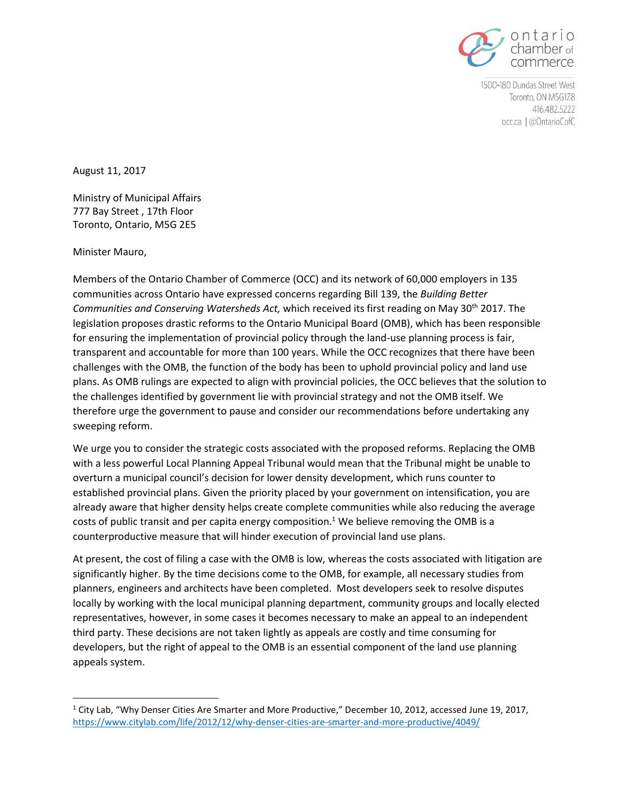

1500-180 Dundas Street West Toronto, ON M5G1Z8 416.482.5222 occ.ca | @OntarioCofC

August 11, 2017

Ministry of Municipal Affairs 777 Bay Street , 17th Floor Toronto, Ontario, M5G 2E5

Minister Mauro,

l

Members of the Ontario Chamber of Commerce (OCC) and its network of 60,000 employers in 135 communities across Ontario have expressed concerns regarding Bill 139, the *[Building Better](http://www.ontla.on.ca/bills/bills-files/41_Parliament/Session2/b139_e.pdf)  [Communities and Conserving Watersheds Act,](http://www.ontla.on.ca/bills/bills-files/41_Parliament/Session2/b139_e.pdf)* which received its first reading on May 30th 2017. The legislation proposes drastic reforms to the Ontario Municipal Board (OMB), which has been responsible for ensuring the implementation of provincial policy through the land-use planning process is fair, transparent and accountable for more than 100 years. While the OCC recognizes that there have been challenges with the OMB, the function of the body has been to uphold provincial policy and land use plans. As OMB rulings are expected to align with provincial policies, the OCC believes that the solution to the challenges identified by government lie with provincial strategy and not the OMB itself. We therefore urge the government to pause and consider our recommendations before undertaking any sweeping reform.

We urge you to consider the strategic costs associated with the proposed reforms. Replacing the OMB with a less powerful Local Planning Appeal Tribunal would mean that the Tribunal might be unable to overturn a municipal council's decision for lower density development, which runs counter to established provincial plans. Given the priority placed by your government on intensification, you are already aware that higher density helps create complete communities while also reducing the average costs of public transit and per capita energy composition.<sup>1</sup> We believe removing the OMB is a counterproductive measure that will hinder execution of provincial land use plans.

At present, the cost of filing a case with the OMB is low, whereas the costs associated with litigation are significantly higher. By the time decisions come to the OMB, for example, all necessary studies from planners, engineers and architects have been completed. Most developers seek to resolve disputes locally by working with the local municipal planning department, community groups and locally elected representatives, however, in some cases it becomes necessary to make an appeal to an independent third party. These decisions are not taken lightly as appeals are costly and time consuming for developers, but the right of appeal to the OMB is an essential component of the land use planning appeals system.

<sup>1</sup> City Lab, "Why Denser Cities Are Smarter and More Productive," December 10, 2012, accessed June 19, 2017, <https://www.citylab.com/life/2012/12/why-denser-cities-are-smarter-and-more-productive/4049/>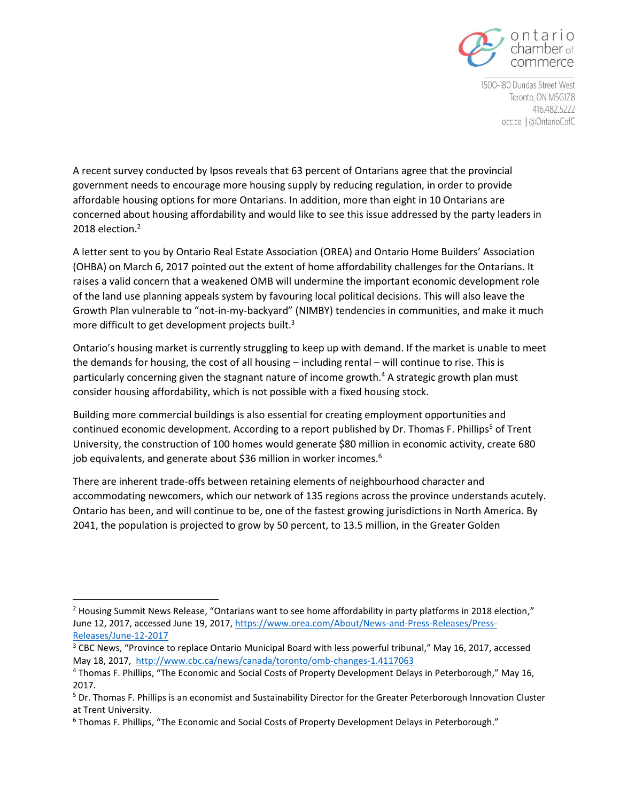

1500-180 Dundas Street West Toronto, ON M5G1Z8 416.482.5222 occ.ca | @OntarioCofC

A recent survey conducted by Ipsos reveals that 63 percent of Ontarians agree that the provincial government needs to encourage more housing supply by reducing regulation, in order to provide affordable housing options for more Ontarians. In addition, more than eight in 10 Ontarians are concerned about housing affordability and would like to see this issue addressed by the party leaders in 2018 election.<sup>2</sup>

A letter sent to you by Ontario Real Estate Association (OREA) and Ontario Home Builders' Association (OHBA) on March 6, 2017 pointed out the extent of home affordability challenges for the Ontarians. It raises a valid concern that a weakened OMB will undermine the important economic development role of the land use planning appeals system by favouring local political decisions. This will also leave the Growth Plan vulnerable to "not-in-my-backyard" (NIMBY) tendencies in communities, and make it much more difficult to get development projects built.<sup>3</sup>

Ontario's housing market is currently struggling to keep up with demand. If the market is unable to meet the demands for housing, the cost of all housing – including rental – will continue to rise. This is particularly concerning given the stagnant nature of income growth.<sup>4</sup> A strategic growth plan must consider housing affordability, which is not possible with a fixed housing stock.

Building more commercial buildings is also essential for creating employment opportunities and continued economic development. According to a report published by Dr. Thomas F. Phillips<sup>5</sup> of Trent University, the construction of 100 homes would generate \$80 million in economic activity, create 680 job equivalents, and generate about \$36 million in worker incomes.<sup>6</sup>

There are inherent trade-offs between retaining elements of neighbourhood character and accommodating newcomers, which our network of 135 regions across the province understands acutely. Ontario has been, and will continue to be, one of the fastest growing jurisdictions in North America. By 2041, the population is projected to grow by 50 percent, to 13.5 million, in the Greater Golden

 $\overline{\phantom{a}}$ 

<sup>&</sup>lt;sup>2</sup> Housing Summit News Release, "Ontarians want to see home affordability in party platforms in 2018 election," June 12, 2017, accessed June 19, 2017, [https://www.orea.com/About/News-and-Press-Releases/Press-](https://www.orea.com/About/News-and-Press-Releases/Press-Releases/June-12-2017)[Releases/June-12-2017](https://www.orea.com/About/News-and-Press-Releases/Press-Releases/June-12-2017)

<sup>&</sup>lt;sup>3</sup> CBC News, "Province to replace Ontario Municipal Board with less powerful tribunal," May 16, 2017, accessed May 18, 2017, <http://www.cbc.ca/news/canada/toronto/omb-changes-1.4117063>

<sup>4</sup> Thomas F. Phillips, "The Economic and Social Costs of Property Development Delays in Peterborough," May 16, 2017.

<sup>5</sup> Dr. Thomas F. Phillips is an economist and Sustainability Director for the Greater Peterborough Innovation Cluster at Trent University.

<sup>6</sup> Thomas F. Phillips, "The Economic and Social Costs of Property Development Delays in Peterborough."